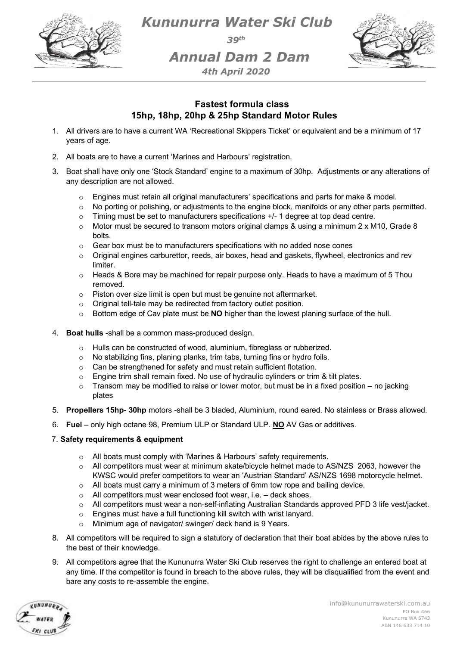

*Kununurra Water Ski Club*

*39th*

*Annual Dam 2 Dam 4th April 2020*



## **Fastest formula class 15hp, 18hp, 20hp & 25hp Standard Motor Rules**

- 1. All drivers are to have a current WA 'Recreational Skippers Ticket' or equivalent and be a minimum of 17 years of age.
- 2. All boats are to have a current 'Marines and Harbours' registration.
- 3. Boat shall have only one 'Stock Standard' engine to a maximum of 30hp. Adjustments or any alterations of any description are not allowed.
	- o Engines must retain all original manufacturers' specifications and parts for make & model.
	- $\circ$  No porting or polishing, or adjustments to the engine block, manifolds or any other parts permitted.
	- $\circ$  Timing must be set to manufacturers specifications  $+/-1$  degree at top dead centre.
	- $\circ$  Motor must be secured to transom motors original clamps & using a minimum 2 x M10, Grade 8 bolts.
	- $\circ$  Gear box must be to manufacturers specifications with no added nose cones
	- o Original engines carburettor, reeds, air boxes, head and gaskets, flywheel, electronics and rev limiter.
	- o Heads & Bore may be machined for repair purpose only. Heads to have a maximum of 5 Thou removed.
	- o Piston over size limit is open but must be genuine not aftermarket.
	- o Original tell-tale may be redirected from factory outlet position.
	- o Bottom edge of Cav plate must be **NO** higher than the lowest planing surface of the hull.
- 4. **Boat hulls** -shall be a common mass-produced design.
	- o Hulls can be constructed of wood, aluminium, fibreglass or rubberized.
	- o No stabilizing fins, planing planks, trim tabs, turning fins or hydro foils.
	- o Can be strengthened for safety and must retain sufficient flotation.
	- $\circ$  Engine trim shall remain fixed. No use of hydraulic cylinders or trim & tilt plates.
	- $\circ$  Transom may be modified to raise or lower motor, but must be in a fixed position no jacking plates
- 5. **Propellers 15hp- 30hp** motors -shall be 3 bladed, Aluminium, round eared. No stainless or Brass allowed.
- 6. **Fuel** only high octane 98, Premium ULP or Standard ULP. **NO** AV Gas or additives.

- o All boats must comply with 'Marines & Harbours' safety requirements.
- $\circ$  All competitors must wear at minimum skate/bicycle helmet made to AS/NZS 2063, however the KWSC would prefer competitors to wear an 'Austrian Standard' AS/NZS 1698 motorcycle helmet.
- $\circ$  All boats must carry a minimum of 3 meters of 6mm tow rope and bailing device.
- $\circ$  All competitors must wear enclosed foot wear, i.e. deck shoes.
- $\circ$  All competitors must wear a non-self-inflating Australian Standards approved PFD 3 life vest/jacket.
- o Engines must have a full functioning kill switch with wrist lanyard.
- o Minimum age of navigator/ swinger/ deck hand is 9 Years.
- 8. All competitors will be required to sign a statutory of declaration that their boat abides by the above rules to the best of their knowledge.
- 9. All competitors agree that the Kununurra Water Ski Club reserves the right to challenge an entered boat at any time. If the competitor is found in breach to the above rules, they will be disqualified from the event and bare any costs to re-assemble the engine.

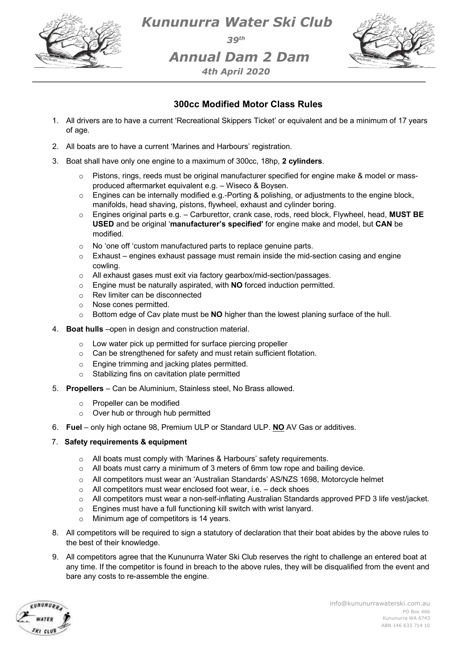

*Kununurra Water Ski Club 39th Annual Dam 2 Dam*



# *4th April 2020*

## **300cc Modified Motor Class Rules**

- 1. All drivers are to have a current 'Recreational Skippers Ticket' or equivalent and be a minimum of 17 years of age.
- 2. All boats are to have a current 'Marines and Harbours' registration.
- 3. Boat shall have only one engine to a maximum of 300cc, 18hp, **2 cylinders**.
	- o Pistons, rings, reeds must be original manufacturer specified for engine make & model or massproduced aftermarket equivalent e.g. – Wiseco & Boysen.
	- o Engines can be internally modified e.g.-Porting & polishing, or adjustments to the engine block, manifolds, head shaving, pistons, flywheel, exhaust and cylinder boring.
	- o Engines original parts e.g. Carburettor, crank case, rods, reed block, Flywheel, head, **MUST BE USED** and be original '**manufacturer's specified'** for engine make and model, but **CAN** be modified.
	- o No 'one off 'custom manufactured parts to replace genuine parts.
	- $\circ$  Exhaust engines exhaust passage must remain inside the mid-section casing and engine cowling.
	- o All exhaust gases must exit via factory gearbox/mid-section/passages.
	- o Engine must be naturally aspirated, with **NO** forced induction permitted.
	- o Rev limiter can be disconnected
	- o Nose cones permitted.
	- <sup>o</sup> Bottom edge of Cav plate must be **NO** higher than the lowest planing surface of the hull.
- 4. **Boat hulls** –open in design and construction material.
	- o Low water pick up permitted for surface piercing propeller
	- o Can be strengthened for safety and must retain sufficient flotation.
	- o Engine trimming and jacking plates permitted.
	- o Stabilizing fins on cavitation plate permitted
- 5. **Propellers** Can be Aluminium, Stainless steel, No Brass allowed.
	- o Propeller can be modified
	- <sup>o</sup> Over hub or through hub permitted
- 6. **Fuel** only high octane 98, Premium ULP or Standard ULP. **NO** AV Gas or additives.
- 7. **Safety requirements & equipment** 
	- o All boats must comply with 'Marines & Harbours' safety requirements.
	- $\circ$  All boats must carry a minimum of 3 meters of 6mm tow rope and bailing device.
	- o All competitors must wear an 'Australian Standards' AS/NZS 1698, Motorcycle helmet
	- o All competitors must wear enclosed foot wear, i.e. deck shoes
	- o All competitors must wear a non-self-inflating Australian Standards approved PFD 3 life vest/jacket.
	- o Engines must have a full functioning kill switch with wrist lanyard.
	- o Minimum age of competitors is 14 years.
- 8. All competitors will be required to sign a statutory of declaration that their boat abides by the above rules to the best of their knowledge.
- 9. All competitors agree that the Kununurra Water Ski Club reserves the right to challenge an entered boat at any time. If the competitor is found in breach to the above rules, they will be disqualified from the event and bare any costs to re-assemble the engine.

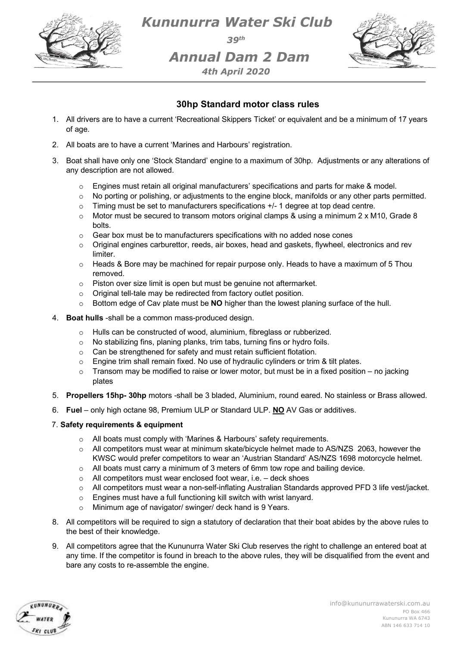

*Kununurra Water Ski Club 39th Annual Dam 2 Dam*

*4th April 2020*



## **30hp Standard motor class rules**

- 1. All drivers are to have a current 'Recreational Skippers Ticket' or equivalent and be a minimum of 17 years of age.
- 2. All boats are to have a current 'Marines and Harbours' registration.
- 3. Boat shall have only one 'Stock Standard' engine to a maximum of 30hp. Adjustments or any alterations of any description are not allowed.
	- o Engines must retain all original manufacturers' specifications and parts for make & model.
	- $\circ$  No porting or polishing, or adjustments to the engine block, manifolds or any other parts permitted.
	- $\circ$  Timing must be set to manufacturers specifications  $+/-1$  degree at top dead centre.
	- $\circ$  Motor must be secured to transom motors original clamps & using a minimum 2 x M10, Grade 8 bolts.
	- $\circ$  Gear box must be to manufacturers specifications with no added nose cones
	- $\circ$  Original engines carburettor, reeds, air boxes, head and gaskets, flywheel, electronics and rev limiter.
	- $\circ$  Heads & Bore may be machined for repair purpose only. Heads to have a maximum of 5 Thou removed.
	- o Piston over size limit is open but must be genuine not aftermarket.
	- o Original tell-tale may be redirected from factory outlet position.
	- <sup>o</sup> Bottom edge of Cav plate must be **NO** higher than the lowest planing surface of the hull.
- 4. **Boat hulls** -shall be a common mass-produced design.
	- o Hulls can be constructed of wood, aluminium, fibreglass or rubberized.
	- o No stabilizing fins, planing planks, trim tabs, turning fins or hydro foils.
	- o Can be strengthened for safety and must retain sufficient flotation.
	- $\circ$  Engine trim shall remain fixed. No use of hydraulic cylinders or trim & tilt plates.
	- $\circ$  Transom may be modified to raise or lower motor, but must be in a fixed position no jacking plates
- 5. **Propellers 15hp- 30hp** motors -shall be 3 bladed, Aluminium, round eared. No stainless or Brass allowed.
- 6. **Fuel** only high octane 98, Premium ULP or Standard ULP. **NO** AV Gas or additives.

- $\circ$  All boats must comply with 'Marines & Harbours' safety requirements.
- o All competitors must wear at minimum skate/bicycle helmet made to AS/NZS 2063, however the KWSC would prefer competitors to wear an 'Austrian Standard' AS/NZS 1698 motorcycle helmet.
- $\circ$  All boats must carry a minimum of 3 meters of 6mm tow rope and bailing device.
- o All competitors must wear enclosed foot wear, i.e. deck shoes
- $\circ$  All competitors must wear a non-self-inflating Australian Standards approved PFD 3 life vest/jacket.
- o Engines must have a full functioning kill switch with wrist lanyard.
- o Minimum age of navigator/ swinger/ deck hand is 9 Years.
- 8. All competitors will be required to sign a statutory of declaration that their boat abides by the above rules to the best of their knowledge.
- 9. All competitors agree that the Kununurra Water Ski Club reserves the right to challenge an entered boat at any time. If the competitor is found in breach to the above rules, they will be disqualified from the event and bare any costs to re-assemble the engine.

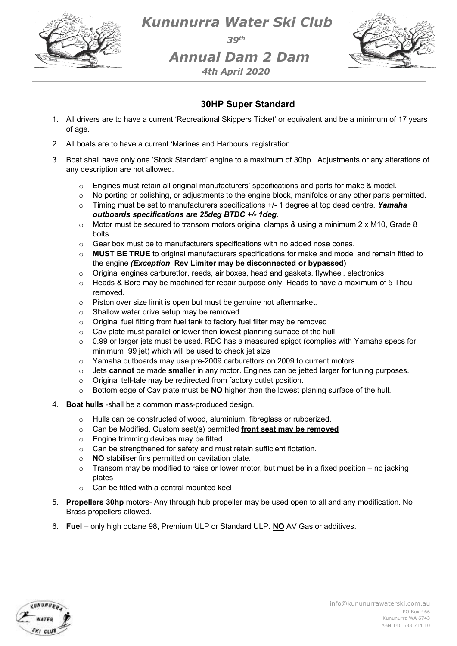

*Kununurra Water Ski Club*

*39th*

*Annual Dam 2 Dam 4th April 2020*



## **30HP Super Standard**

- 1. All drivers are to have a current 'Recreational Skippers Ticket' or equivalent and be a minimum of 17 years of age.
- 2. All boats are to have a current 'Marines and Harbours' registration.
- 3. Boat shall have only one 'Stock Standard' engine to a maximum of 30hp. Adjustments or any alterations of any description are not allowed.
	- o Engines must retain all original manufacturers' specifications and parts for make & model.
	- o No porting or polishing, or adjustments to the engine block, manifolds or any other parts permitted.
	- o Timing must be set to manufacturers specifications +/- 1 degree at top dead centre. *Yamaha outboards specifications are 25deg BTDC +/- 1deg.*
	- o Motor must be secured to transom motors original clamps & using a minimum 2 x M10, Grade 8 bolts.
	- $\circ$  Gear box must be to manufacturers specifications with no added nose cones.
	- o **MUST BE TRUE** to original manufacturers specifications for make and model and remain fitted to the engine *(Exception*: **Rev Limiter may be disconnected or bypassed)**
	- o Original engines carburettor, reeds, air boxes, head and gaskets, flywheel, electronics.
	- $\circ$  Heads & Bore may be machined for repair purpose only. Heads to have a maximum of 5 Thou removed.
	- o Piston over size limit is open but must be genuine not aftermarket.
	- o Shallow water drive setup may be removed
	- o Original fuel fitting from fuel tank to factory fuel filter may be removed
	- o Cav plate must parallel or lower then lowest planning surface of the hull
	- $\circ$  0.99 or larger jets must be used. RDC has a measured spigot (complies with Yamaha specs for minimum .99 jet) which will be used to check jet size
	- $\circ$  Yamaha outboards may use pre-2009 carburettors on 2009 to current motors.
	- o Jets **cannot** be made **smaller** in any motor. Engines can be jetted larger for tuning purposes.
	- o Original tell-tale may be redirected from factory outlet position.
	- o Bottom edge of Cav plate must be **NO** higher than the lowest planing surface of the hull.
- 4. **Boat hulls** -shall be a common mass-produced design.
	- o Hulls can be constructed of wood, aluminium, fibreglass or rubberized.
	- o Can be Modified. Custom seat(s) permitted **front seat may be removed**
	- o Engine trimming devices may be fitted
	- o Can be strengthened for safety and must retain sufficient flotation.
	- o **NO** stabiliser fins permitted on cavitation plate.
	- $\circ$  Transom may be modified to raise or lower motor, but must be in a fixed position no jacking plates
	- $\circ$  Can be fitted with a central mounted keel
- 5. **Propellers 30hp** motors- Any through hub propeller may be used open to all and any modification. No Brass propellers allowed.
- 6. **Fuel** only high octane 98, Premium ULP or Standard ULP. **NO** AV Gas or additives.

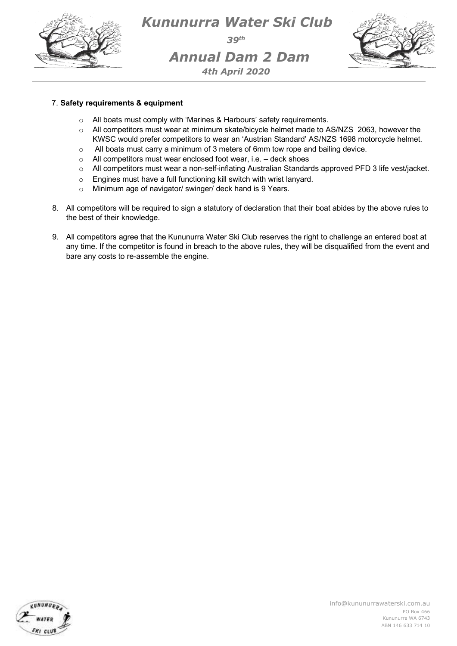

*Kununurra Water Ski Club 39th Annual Dam 2 Dam 4th April 2020*



- o All boats must comply with 'Marines & Harbours' safety requirements.
- o All competitors must wear at minimum skate/bicycle helmet made to AS/NZS 2063, however the KWSC would prefer competitors to wear an 'Austrian Standard' AS/NZS 1698 motorcycle helmet.
- o All boats must carry a minimum of 3 meters of 6mm tow rope and bailing device.
- o All competitors must wear enclosed foot wear, i.e. deck shoes
- o All competitors must wear a non-self-inflating Australian Standards approved PFD 3 life vest/jacket.
- o Engines must have a full functioning kill switch with wrist lanyard.
- o Minimum age of navigator/ swinger/ deck hand is 9 Years.
- 8. All competitors will be required to sign a statutory of declaration that their boat abides by the above rules to the best of their knowledge.
- 9. All competitors agree that the Kununurra Water Ski Club reserves the right to challenge an entered boat at any time. If the competitor is found in breach to the above rules, they will be disqualified from the event and bare any costs to re-assemble the engine.

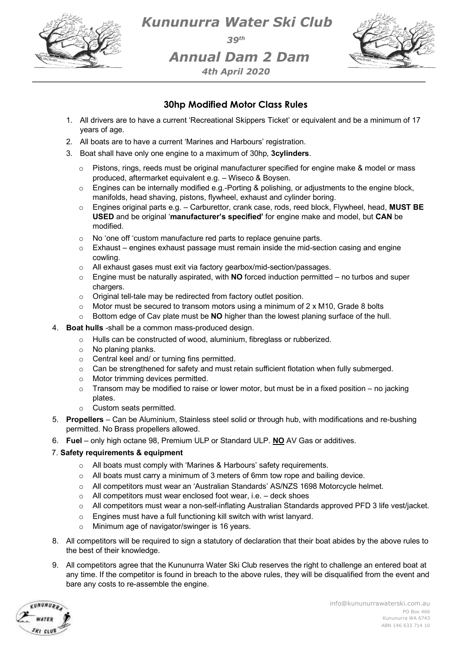

*Kununurra Water Ski Club 39th Annual Dam 2 Dam*



# **30hp Modified Motor Class Rules**

*4th April 2020*

- 1. All drivers are to have a current 'Recreational Skippers Ticket' or equivalent and be a minimum of 17 years of age.
- 2. All boats are to have a current 'Marines and Harbours' registration.
- 3. Boat shall have only one engine to a maximum of 30hp, **3cylinders**.
	- $\circ$  Pistons, rings, reeds must be original manufacturer specified for engine make & model or mass produced, aftermarket equivalent e.g. – Wiseco & Boysen.
	- $\circ$  Engines can be internally modified e.g.-Porting & polishing, or adjustments to the engine block, manifolds, head shaving, pistons, flywheel, exhaust and cylinder boring.
	- o Engines original parts e.g. Carburettor, crank case, rods, reed block, Flywheel, head, **MUST BE USED** and be original '**manufacturer's specified'** for engine make and model, but **CAN** be modified.
	- o No 'one off 'custom manufacture red parts to replace genuine parts.
	- $\circ$  Exhaust engines exhaust passage must remain inside the mid-section casing and engine cowling.
	- o All exhaust gases must exit via factory gearbox/mid-section/passages.
	- o Engine must be naturally aspirated, with **NO** forced induction permitted no turbos and super chargers.
	- o Original tell-tale may be redirected from factory outlet position.
	- $\circ$  Motor must be secured to transom motors using a minimum of 2 x M10, Grade 8 bolts
	- o Bottom edge of Cav plate must be **NO** higher than the lowest planing surface of the hull.
- 4. **Boat hulls** -shall be a common mass-produced design.
	- o Hulls can be constructed of wood, aluminium, fibreglass or rubberized.
	- o No planing planks.
	- o Central keel and/ or turning fins permitted.
	- $\circ$  Can be strengthened for safety and must retain sufficient flotation when fully submerged.
	- o Motor trimming devices permitted.
	- $\circ$  Transom may be modified to raise or lower motor, but must be in a fixed position no jacking plates.
	- o Custom seats permitted.
- 5. **Propellers** Can be Aluminium, Stainless steel solid or through hub, with modifications and re-bushing permitted. No Brass propellers allowed.
- 6. **Fuel** only high octane 98, Premium ULP or Standard ULP. **NO** AV Gas or additives.

- o All boats must comply with 'Marines & Harbours' safety requirements.
- $\circ$  All boats must carry a minimum of 3 meters of 6mm tow rope and bailing device.
- o All competitors must wear an 'Australian Standards' AS/NZS 1698 Motorcycle helmet.
- o All competitors must wear enclosed foot wear, i.e. deck shoes
- $\circ$  All competitors must wear a non-self-inflating Australian Standards approved PFD 3 life vest/jacket.
- o Engines must have a full functioning kill switch with wrist lanyard.
- o Minimum age of navigator/swinger is 16 years.
- 8. All competitors will be required to sign a statutory of declaration that their boat abides by the above rules to the best of their knowledge.
- 9. All competitors agree that the Kununurra Water Ski Club reserves the right to challenge an entered boat at any time. If the competitor is found in breach to the above rules, they will be disqualified from the event and bare any costs to re-assemble the engine.